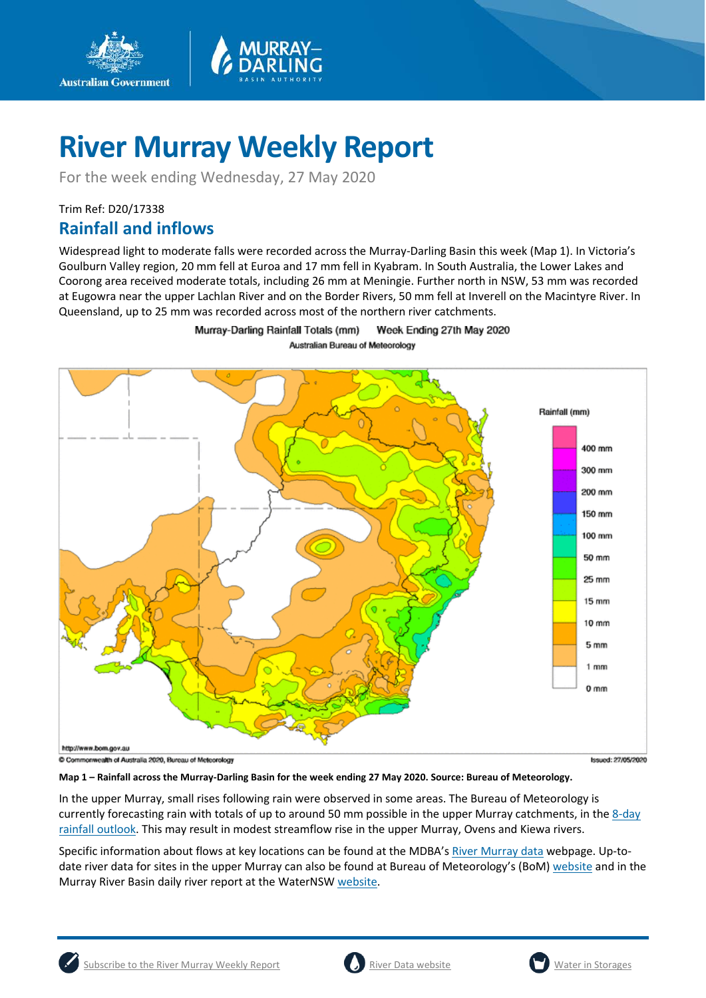

For the week ending Wednesday, 27 May 2020

## Trim Ref: D20/17338

**Australian Government** 

## **Rainfall and inflows**

Widespread light to moderate falls were recorded across the Murray-Darling Basin this week (Map 1). In Victoria's Goulburn Valley region, 20 mm fell at Euroa and 17 mm fell in Kyabram. In South Australia, the Lower Lakes and Coorong area received moderate totals, including 26 mm at Meningie. Further north in NSW, 53 mm was recorded at Eugowra near the upper Lachlan River and on the Border Rivers, 50 mm fell at Inverell on the Macintyre River. In Queensland, up to 25 mm was recorded across most of the northern river catchments.



Murray-Darling Rainfall Totals (mm) Week Ending 27th May 2020 Australian Bureau of Meteorology

C Commonwealth of Australia 2020, Bureau of Meteorology



**Map 1 – Rainfall across the Murray-Darling Basin for the week ending 27 May 2020. Source: Bureau of Meteorology.**

In the upper Murray, small rises following rain were observed in some areas. The Bureau of Meteorology is currently forecasting rain with totals of up to around 50 mm possible in the upper Murray catchments, in th[e 8-day](http://www.bom.gov.au/jsp/watl/rainfall/pme.jsp)  [rainfall outlook.](http://www.bom.gov.au/jsp/watl/rainfall/pme.jsp) This may result in modest streamflow rise in the upper Murray, Ovens and Kiewa rivers.

Specific information about flows at key locations can be found at the MDBA's [River Murray data](https://riverdata.mdba.gov.au/system-view) webpage. Up-todate river data for sites in the upper Murray can also be found at Bureau of Meteorology's (BoM) [website](http://www.bom.gov.au/cgi-bin/wrap_fwo.pl?IDV60151.html) and in the Murray River Basin daily river report at the WaterNS[W website.](https://realtimedata.waternsw.com.au/water.stm)



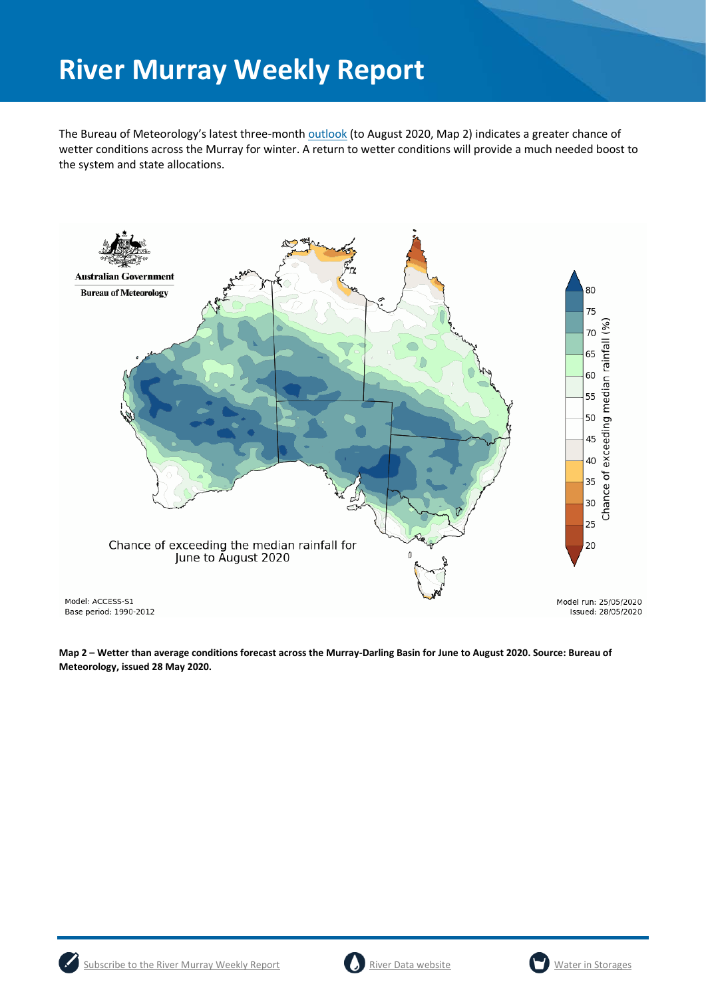The Bureau of Meteorology's latest three-month [outlook](http://www.bom.gov.au/climate/outlooks/#/overview/summary) (to August 2020, Map 2) indicates a greater chance of wetter conditions across the Murray for winter. A return to wetter conditions will provide a much needed boost to the system and state allocations.



**Map 2 – Wetter than average conditions forecast across the Murray-Darling Basin for June to August 2020. Source: Bureau of Meteorology, issued 28 May 2020.**





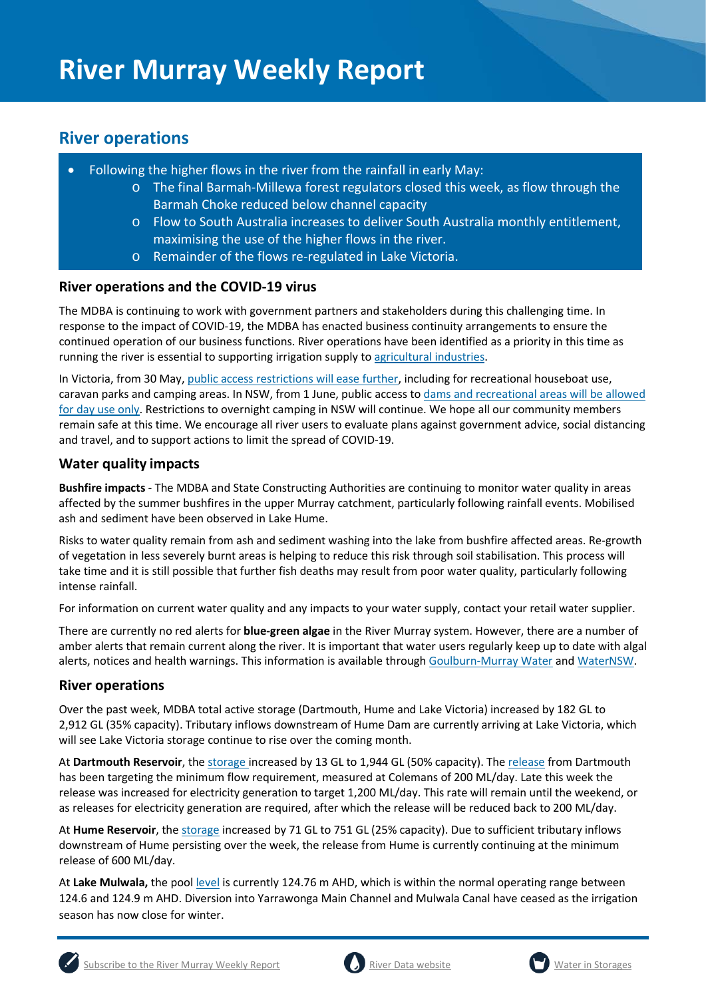## **River operations**

- Following the higher flows in the river from the rainfall in early May:
	- o The final Barmah-Millewa forest regulators closed this week, as flow through the Barmah Choke reduced below channel capacity
	- o Flow to South Australia increases to deliver South Australia monthly entitlement, maximising the use of the higher flows in the river.
	- o Remainder of the flows re-regulated in Lake Victoria.

### **River operations and the COVID-19 virus**

The MDBA is continuing to work with government partners and stakeholders during this challenging time. In response to the impact of COVID-19, the MDBA has enacted business continuity arrangements to ensure the continued operation of our business functions. River operations have been identified as a priority in this time as running the river is essential to supporting irrigation supply t[o agricultural industries.](https://www.agriculture.gov.au/biosecurity/coronavirus/food-agriculture)

In Victoria, from 30 May, public access [restrictions will ease further,](https://www.g-mwater.com.au/recreation-tourism) including for recreational houseboat use, caravan parks and camping areas. In NSW, from 1 June, public access to [dams and recreational areas will be allowed](https://www.waternsw.com.au/about/newsroom/2020/covid-19-coronavirus-our-response)  [for day use only.](https://www.waternsw.com.au/about/newsroom/2020/covid-19-coronavirus-our-response) Restrictions to overnight camping in NSW will continue. We hope all our community members remain safe at this time. We encourage all river users to evaluate plans against government advice, social distancing and travel, and to support actions to limit the spread of COVID-19.

## **Water quality impacts**

**Bushfire impacts** - The MDBA and State Constructing Authorities are continuing to monitor water quality in areas affected by the summer bushfires in the upper Murray catchment, particularly following rainfall events. Mobilised ash and sediment have been observed in Lake Hume.

Risks to water quality remain from ash and sediment washing into the lake from bushfire affected areas. Re-growth of vegetation in less severely burnt areas is helping to reduce this risk through soil stabilisation. This process will take time and it is still possible that further fish deaths may result from poor water quality, particularly following intense rainfall.

For information on current water quality and any impacts to your water supply, contact your retail water supplier.

There are currently no red alerts for **blue-green algae** in the River Murray system. However, there are a number of amber alerts that remain current along the river. It is important that water users regularly keep up to date with algal alerts, notices and health warnings. This information is available throug[h Goulburn-Murray Water](https://www.g-mwater.com.au/news/bga) and [WaterNSW.](https://www.waternsw.com.au/water-quality/algae)

#### **River operations**

Over the past week, MDBA total active storage (Dartmouth, Hume and Lake Victoria) increased by 182 GL to 2,912 GL (35% capacity). Tributary inflows downstream of Hume Dam are currently arriving at Lake Victoria, which will see Lake Victoria storage continue to rise over the coming month.

At **Dartmouth Reservoir**, the [storage](https://riverdata.mdba.gov.au/dartmouth-dam) increased by 13 GL to 1,944 GL (50% capacity). Th[e release](https://riverdata.mdba.gov.au/colemans) from Dartmouth has been targeting the minimum flow requirement, measured at Colemans of 200 ML/day. Late this week the release was increased for electricity generation to target 1,200 ML/day. This rate will remain until the weekend, or as releases for electricity generation are required, after which the release will be reduced back to 200 ML/day.

At **Hume Reservoir**, the [storage](https://riverdata.mdba.gov.au/hume-dam) increased by 71 GL to 751 GL (25% capacity). Due to sufficient tributary inflows downstream of Hume persisting over the week, the release from Hume is currently continuing at the minimum release of 600 ML/day.

At **Lake Mulwala,** the pool [level](https://riverdata.mdba.gov.au/yarrawonga-weir-upstream) is currently 124.76 m AHD, which is within the normal operating range between 124.6 and 124.9 m AHD. Diversion into Yarrawonga Main Channel and Mulwala Canal have ceased as the irrigation season has now close for winter.





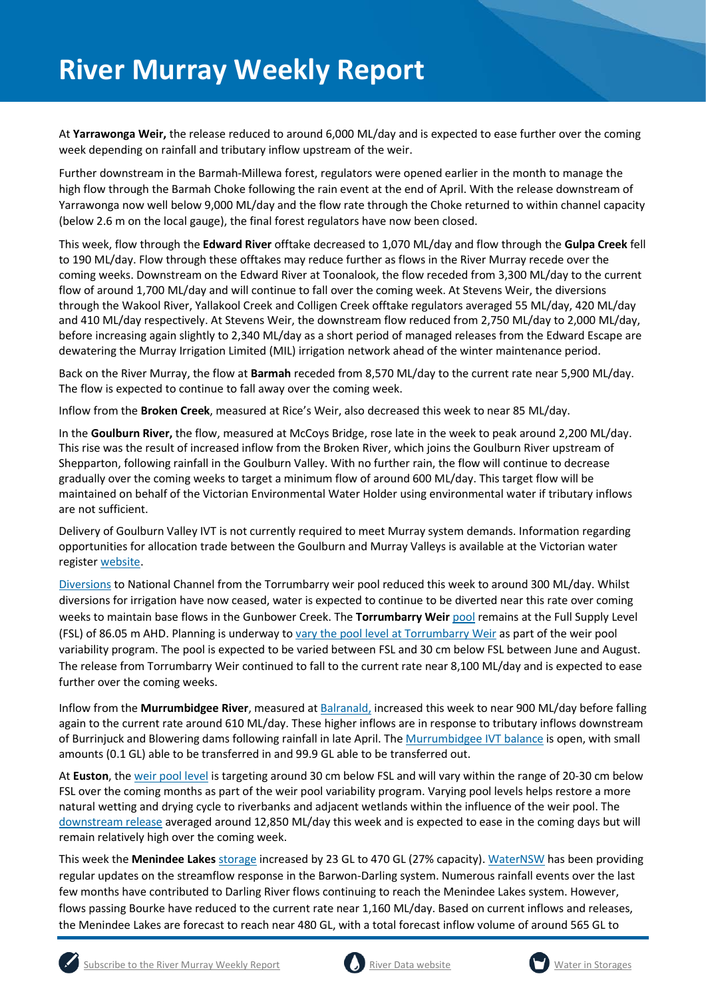At **Yarrawonga Weir,** the release reduced to around 6,000 ML/day and is expected to ease further over the coming week depending on rainfall and tributary inflow upstream of the weir.

Further downstream in the Barmah-Millewa forest, regulators were opened earlier in the month to manage the high flow through the Barmah Choke following the rain event at the end of April. With the release downstream of Yarrawonga now well below 9,000 ML/day and the flow rate through the Choke returned to within channel capacity (below 2.6 m on the local gauge), the final forest regulators have now been closed.

This week, flow through the **Edward River** offtake decreased to 1,070 ML/day and flow through the **Gulpa Creek** fell to 190 ML/day. Flow through these offtakes may reduce further as flows in the River Murray recede over the coming weeks. Downstream on the Edward River at Toonalook, the flow receded from 3,300 ML/day to the current flow of around 1,700 ML/day and will continue to fall over the coming week. At Stevens Weir, the diversions through the Wakool River, Yallakool Creek and Colligen Creek offtake regulators averaged 55 ML/day, 420 ML/day and 410 ML/day respectively. At Stevens Weir, the downstream flow reduced from 2,750 ML/day to 2,000 ML/day, before increasing again slightly to 2,340 ML/day as a short period of managed releases from the Edward Escape are dewatering the Murray Irrigation Limited (MIL) irrigation network ahead of the winter maintenance period.

Back on the River Murray, the flow at **Barmah** receded from 8,570 ML/day to the current rate near 5,900 ML/day. The flow is expected to continue to fall away over the coming week.

Inflow from the **Broken Creek**, measured at Rice's Weir, also decreased this week to near 85 ML/day.

In the **Goulburn River,** the flow, measured at McCoys Bridge, rose late in the week to peak around 2,200 ML/day. This rise was the result of increased inflow from the Broken River, which joins the Goulburn River upstream of Shepparton, following rainfall in the Goulburn Valley. With no further rain, the flow will continue to decrease gradually over the coming weeks to target a minimum flow of around 600 ML/day. This target flow will be maintained on behalf of the Victorian Environmental Water Holder using environmental water if tributary inflows are not sufficient.

Delivery of Goulburn Valley IVT is not currently required to meet Murray system demands. Information regarding opportunities for allocation trade between the Goulburn and Murray Valleys is available at the Victorian water register [website.](http://waterregister.vic.gov.au/water-trading/allocation-trading#AllocationTradeOpportunities)

[Diversions](https://riverdata.mdba.gov.au/national-channel-ds-torrumbarry-headworks) to National Channel from the Torrumbarry weir pool reduced this week to around 300 ML/day. Whilst diversions for irrigation have now ceased, water is expected to continue to be diverted near this rate over coming weeks to maintain base flows in the Gunbower Creek. The **Torrumbarry Weir** [pool](https://riverdata.mdba.gov.au/torrumbarry-weir-lock-26) remains at the Full Supply Level (FSL) of 86.05 m AHD. Planning is underway t[o vary the pool level at Torrumbarry Weir](https://www.mdba.gov.au/media/mr/joint-media-release-torrumbarry-weir-pool-level-vary-river-bank-health-stability) as part of the weir pool variability program. The pool is expected to be varied between FSL and 30 cm below FSL between June and August. The release from Torrumbarry Weir continued to fall to the current rate near 8,100 ML/day and is expected to ease further over the coming weeks.

Inflow from the **Murrumbidgee River**, measured a[t Balranald,](https://riverdata.mdba.gov.au/balranald-weir-downstream) increased this week to near 900 ML/day before falling again to the current rate around 610 ML/day. These higher inflows are in response to tributary inflows downstream of Burrinjuck and Blowering dams following rainfall in late April. The [Murrumbidgee IVT balance](https://www.waternsw.com.au/customer-service/ordering-trading-and-pricing/trading/murrumbidgee) is open, with small amounts (0.1 GL) able to be transferred in and 99.9 GL able to be transferred out.

At **Euston**, the [weir pool level](https://riverdata.mdba.gov.au/euston-weir-upstream) is targeting around 30 cm below FSL and will vary within the range of 20-30 cm below FSL over the coming months as part of the weir pool variability program. Varying pool levels helps restore a more natural wetting and drying cycle to riverbanks and adjacent wetlands within the influence of the weir pool. The [downstream release](https://riverdata.mdba.gov.au/euston-weir-downstream) averaged around 12,850 ML/day this week and is expected to ease in the coming days but will remain relatively high over the coming week.

This week the **Menindee Lakes** [storage](https://riverdata.mdba.gov.au/menindee-lakes-combined-storage) increased by 23 GL to 470 GL (27% capacity). [WaterNSW](https://www.waternsw.com.au/supply/regional-nsw/operations-updates) has been providing regular updates on the streamflow response in the Barwon-Darling system. Numerous rainfall events over the last few months have contributed to Darling River flows continuing to reach the Menindee Lakes system. However, flows passing Bourke have reduced to the current rate near 1,160 ML/day. Based on current inflows and releases, the Menindee Lakes are forecast to reach near 480 GL, with a total forecast inflow volume of around 565 GL to





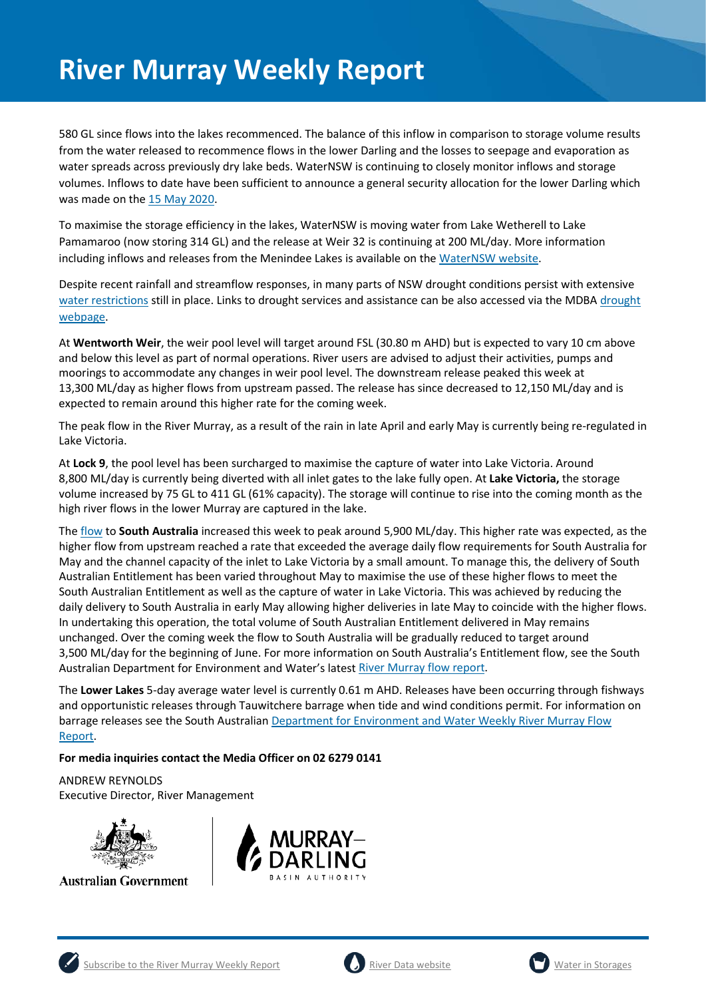580 GL since flows into the lakes recommenced. The balance of this inflow in comparison to storage volume results from the water released to recommence flows in the lower Darling and the losses to seepage and evaporation as water spreads across previously dry lake beds. WaterNSW is continuing to closely monitor inflows and storage volumes. Inflows to date have been sufficient to announce a general security allocation for the lower Darling which was made on the [15 May 2020.](https://www.industry.nsw.gov.au/__data/assets/pdf_file/0019/301393/Was-Murray-20200515.pdf)

To maximise the storage efficiency in the lakes, WaterNSW is moving water from Lake Wetherell to Lake Pamamaroo (now storing 314 GL) and the release at Weir 32 is continuing at 200 ML/day. More information including inflows and releases from the Menindee Lakes is available on the [WaterNSW website.](https://www.waternsw.com.au/supply/regional-nsw/operations-updates)

Despite recent rainfall and streamflow responses, in many parts of NSW drought conditions persist with extensive [water restrictions](https://www.industry.nsw.gov.au/water/allocations-availability/temporary-water-restrictions) still in place. Links to drought services and assistance can be also accessed via the MDBA [drought](https://www.mdba.gov.au/managing-water/drought-murray-darling-basin)  [webpage.](https://www.mdba.gov.au/managing-water/drought-murray-darling-basin)

At **Wentworth Weir**, the weir pool level will target around FSL (30.80 m AHD) but is expected to vary 10 cm above and below this level as part of normal operations. River users are advised to adjust their activities, pumps and moorings to accommodate any changes in weir pool level. The downstream release peaked this week at 13,300 ML/day as higher flows from upstream passed. The release has since decreased to 12,150 ML/day and is expected to remain around this higher rate for the coming week.

The peak flow in the River Murray, as a result of the rain in late April and early May is currently being re-regulated in Lake Victoria.

At **Lock 9**, the pool level has been surcharged to maximise the capture of water into Lake Victoria. Around 8,800 ML/day is currently being diverted with all inlet gates to the lake fully open. At **Lake Victoria,** the storage volume increased by 75 GL to 411 GL (61% capacity). The storage will continue to rise into the coming month as the high river flows in the lower Murray are captured in the lake.

The [flow](https://riverdata.mdba.gov.au/flow-south-australia-calculated) to **South Australia** increased this week to peak around 5,900 ML/day. This higher rate was expected, as the higher flow from upstream reached a rate that exceeded the average daily flow requirements for South Australia for May and the channel capacity of the inlet to Lake Victoria by a small amount. To manage this, the delivery of South Australian Entitlement has been varied throughout May to maximise the use of these higher flows to meet the South Australian Entitlement as well as the capture of water in Lake Victoria. This was achieved by reducing the daily delivery to South Australia in early May allowing higher deliveries in late May to coincide with the higher flows. In undertaking this operation, the total volume of South Australian Entitlement delivered in May remains unchanged. Over the coming week the flow to South Australia will be gradually reduced to target around 3,500 ML/day for the beginning of June. For more information on South Australia's Entitlement flow, see the South Australian Department for Environment and Water's lates[t River Murray](https://www.waterconnect.sa.gov.au/River-Murray/SitePages/2019%20Flow%20Reports.aspx) flow report.

The **Lower Lakes** 5-day average water level is currently 0.61 m AHD. Releases have been occurring through fishways and opportunistic releases through Tauwitchere barrage when tide and wind conditions permit. For information on barrage releases see the South Australian [Department for Environment and Water Weekly River Murray Flow](https://www.waterconnect.sa.gov.au/River-Murray/SitePages/River%20Murray%20Flow%20Reports.aspx)  [Report.](https://www.waterconnect.sa.gov.au/River-Murray/SitePages/River%20Murray%20Flow%20Reports.aspx)

#### **For media inquiries contact the Media Officer on 02 6279 0141**

ANDREW REYNOLDS

Executive Director, River Management



**Australian Government** 







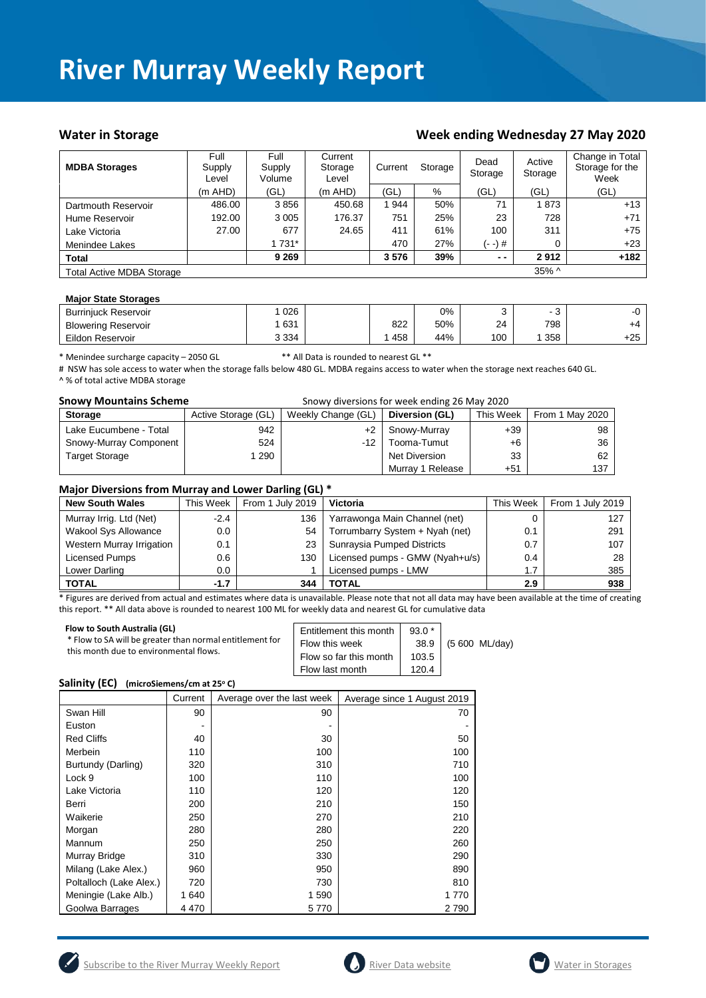#### Water in Storage **Week ending Wednesday 27 May 2020**

| <b>MDBA Storages</b>             | Full<br>Supply<br>Level | Full<br>Supply<br>Volume | Current<br>Storage<br>Level | Current<br>Storage |     | Dead<br>Storage | Active<br>Storage | Change in Total<br>Storage for the<br>Week |
|----------------------------------|-------------------------|--------------------------|-----------------------------|--------------------|-----|-----------------|-------------------|--------------------------------------------|
|                                  | $(m$ AHD)               | (GL)                     | $(m$ AHD)                   | (GL)               | %   | (GL)            | (GL)              | (GL)                                       |
| Dartmouth Reservoir              | 486.00                  | 3856                     | 450.68                      | 944                | 50% | 71              | 1873              | $+13$                                      |
| Hume Reservoir                   | 192.00                  | 3 0 0 5                  | 176.37                      | 751                | 25% | 23              | 728               | $+71$                                      |
| Lake Victoria                    | 27.00                   | 677                      | 24.65                       | 411                | 61% | 100             | 311               | $+75$                                      |
| Menindee Lakes                   |                         | 1 731*                   |                             | 470                | 27% | (- -) #         | 0                 | $+23$                                      |
| <b>Total</b>                     |                         | 9 2 6 9                  |                             | 3576               | 39% | $ -$            | 2912              | $+182$                                     |
| <b>Total Active MDBA Storage</b> |                         |                          |                             |                    |     |                 | 35% ^             |                                            |

#### **Major State Storages**

| <b>Burrinjuck Reservoir</b> | 026     |     | $0\%$ |     | -   |       |
|-----------------------------|---------|-----|-------|-----|-----|-------|
| <b>Blowering Reservoir</b>  | 631     | 822 | 50%   | 24  | 798 | +4    |
| Eildon Reservoir            | 3 3 3 4 | 458 | 44%   | 100 | 358 | $+25$ |

\* Menindee surcharge capacity – 2050 GL \*\* All Data is rounded to nearest GL \*\*

# NSW has sole access to water when the storage falls below 480 GL. MDBA regains access to water when the storage next reaches 640 GL. ^ % of total active MDBA storage

| <b>Snowy Mountains Scheme</b> |                     | Snowy diversions for week ending 26 May 2020                         |                  |       |     |  |  |  |  |
|-------------------------------|---------------------|----------------------------------------------------------------------|------------------|-------|-----|--|--|--|--|
| <b>Storage</b>                | Active Storage (GL) | Weekly Change (GL)<br>This Week<br>From 1 May 2020<br>Diversion (GL) |                  |       |     |  |  |  |  |
| Lake Eucumbene - Total        | 942                 | +2                                                                   | Snowy-Murray     | $+39$ | 98  |  |  |  |  |
| Snowy-Murray Component        | 524                 | -12 I                                                                | Tooma-Tumut      | +6    | 36  |  |  |  |  |
| <b>Target Storage</b>         | 290                 |                                                                      | Net Diversion    | 33    | 62  |  |  |  |  |
|                               |                     |                                                                      | Murray 1 Release | $+51$ | 137 |  |  |  |  |

#### **Major Diversions from Murray and Lower Darling (GL) \***

| <b>New South Wales</b>      | This Week | . .<br>From 1 July 2019 | <b>Victoria</b>                 | This Week | From 1 July 2019 |
|-----------------------------|-----------|-------------------------|---------------------------------|-----------|------------------|
| Murray Irrig. Ltd (Net)     | $-2.4$    | 136                     | Yarrawonga Main Channel (net)   | 0         | 127              |
| <b>Wakool Sys Allowance</b> | $0.0\,$   | 54                      | Torrumbarry System + Nyah (net) | 0.1       | 291              |
| Western Murray Irrigation   | 0.1       | 23                      | Sunraysia Pumped Districts      | 0.7       | 107              |
| Licensed Pumps              | 0.6       | 130                     | Licensed pumps - GMW (Nyah+u/s) | 0.4       | 28               |
| Lower Darling               | 0.0       |                         | Licensed pumps - LMW            | 1.7       | 385              |
| <b>TOTAL</b>                | $-1.7$    | 344                     | <b>TOTAL</b>                    | 2.9       | 938              |

\* Figures are derived from actual and estimates where data is unavailable. Please note that not all data may have been available at the time of creating this report. \*\* All data above is rounded to nearest 100 ML for weekly data and nearest GL for cumulative data

| Flow to South Australia (GL)<br>* Flow to SA will be greater than normal entitlement for<br>this month due to environmental flows. | Entitlement this month<br>Flow this week<br>Flow so far this month<br>Flow last month | $93.0*$<br>38.9<br>103.5<br>120.4 | (5 600 ML/day) |
|------------------------------------------------------------------------------------------------------------------------------------|---------------------------------------------------------------------------------------|-----------------------------------|----------------|
|------------------------------------------------------------------------------------------------------------------------------------|---------------------------------------------------------------------------------------|-----------------------------------|----------------|

#### **Salinity (EC)** (microSiemens/cm at 25°C)

|                         | Current | Average over the last week | Average since 1 August 2019 |
|-------------------------|---------|----------------------------|-----------------------------|
| Swan Hill               | 90      | 90                         | 70                          |
| Euston                  |         |                            |                             |
| <b>Red Cliffs</b>       | 40      | 30                         | 50                          |
| Merbein                 | 110     | 100                        | 100                         |
| Burtundy (Darling)      | 320     | 310                        | 710                         |
| Lock 9                  | 100     | 110                        | 100                         |
| Lake Victoria           | 110     | 120                        | 120                         |
| Berri                   | 200     | 210                        | 150                         |
| Waikerie                | 250     | 270                        | 210                         |
| Morgan                  | 280     | 280                        | 220                         |
| Mannum                  | 250     | 250                        | 260                         |
| Murray Bridge           | 310     | 330                        | 290                         |
| Milang (Lake Alex.)     | 960     | 950                        | 890                         |
| Poltalloch (Lake Alex.) | 720     | 730                        | 810                         |
| Meningie (Lake Alb.)    | 1 640   | 1590                       | 1 770                       |
| Goolwa Barrages         | 4 4 7 0 | 5 770                      | 2790                        |





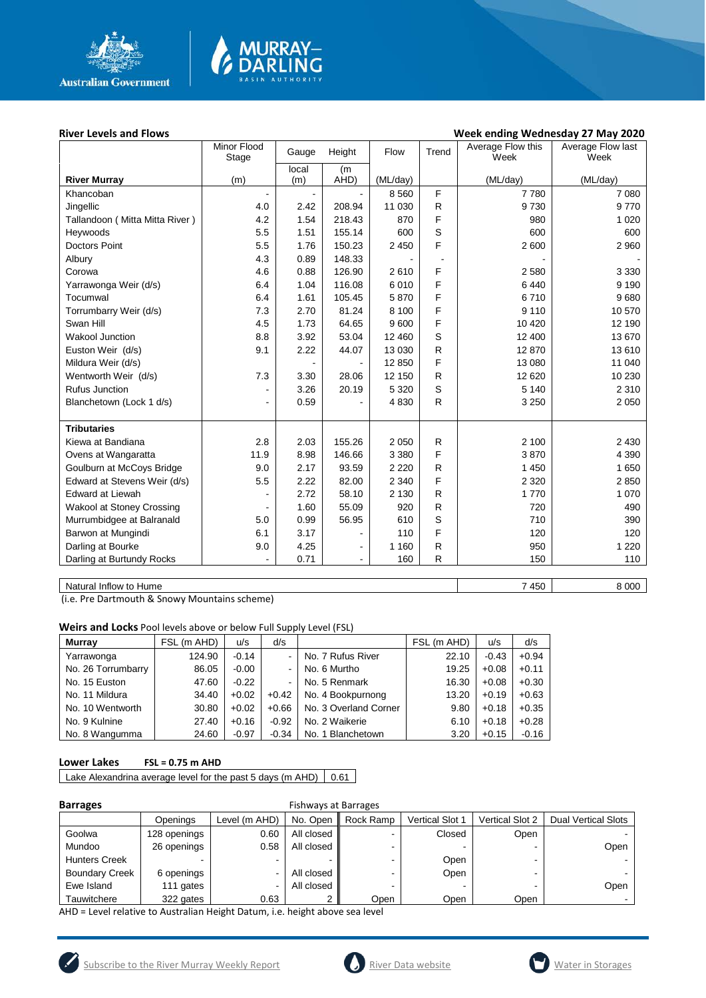

# **MURRAY-<br>DARLING**

#### River Levels and Flows **River Levels and Flows River Levels and Flows Week ending Wednesday 27 May 2020**

|                                | Minor Flood<br>Stage | Gauge          | Height         | Flow     | Trend        | Average Flow this<br>Week | Average Flow last<br>Week |
|--------------------------------|----------------------|----------------|----------------|----------|--------------|---------------------------|---------------------------|
|                                |                      | local          | (m             |          |              |                           |                           |
| <b>River Murray</b>            | (m)                  | (m)            | AHD)           | (ML/day) |              | (ML/day)                  | (ML/day)                  |
| Khancoban                      |                      | $\blacksquare$ |                | 8 5 6 0  | F            | 7780                      | 7 0 8 0                   |
| Jingellic                      | 4.0                  | 2.42           | 208.94         | 11 030   | R            | 9730                      | 9770                      |
| Tallandoon (Mitta Mitta River) | 4.2                  | 1.54           | 218.43         | 870      | F            | 980                       | 1 0 2 0                   |
| Heywoods                       | 5.5                  | 1.51           | 155.14         | 600      | S            | 600                       | 600                       |
| <b>Doctors Point</b>           | 5.5                  | 1.76           | 150.23         | 2 4 5 0  | F            | 2 600                     | 2 9 6 0                   |
| Albury                         | 4.3                  | 0.89           | 148.33         |          |              |                           |                           |
| Corowa                         | 4.6                  | 0.88           | 126.90         | 2610     | F            | 2580                      | 3 3 3 0                   |
| Yarrawonga Weir (d/s)          | 6.4                  | 1.04           | 116.08         | 6010     | F            | 6440                      | 9 1 9 0                   |
| Tocumwal                       | 6.4                  | 1.61           | 105.45         | 5870     | F            | 6710                      | 9680                      |
| Torrumbarry Weir (d/s)         | 7.3                  | 2.70           | 81.24          | 8 1 0 0  | F            | 9 1 1 0                   | 10 570                    |
| Swan Hill                      | 4.5                  | 1.73           | 64.65          | 9600     | F            | 10 4 20                   | 12 190                    |
| <b>Wakool Junction</b>         | 8.8                  | 3.92           | 53.04          | 12 460   | S            | 12 400                    | 13 670                    |
| Euston Weir (d/s)              | 9.1                  | 2.22           | 44.07          | 13 0 30  | $\mathsf{R}$ | 12 870                    | 13 610                    |
| Mildura Weir (d/s)             |                      |                |                | 12 850   | F            | 13 080                    | 11 040                    |
| Wentworth Weir (d/s)           | 7.3                  | 3.30           | 28.06          | 12 150   | $\mathsf{R}$ | 12 6 20                   | 10 230                    |
| <b>Rufus Junction</b>          | $\overline{a}$       | 3.26           | 20.19          | 5 3 2 0  | S            | 5 1 4 0                   | 2 3 1 0                   |
| Blanchetown (Lock 1 d/s)       | $\blacksquare$       | 0.59           |                | 4 8 3 0  | $\mathsf{R}$ | 3 2 5 0                   | 2 0 5 0                   |
|                                |                      |                |                |          |              |                           |                           |
| <b>Tributaries</b>             |                      |                |                |          |              |                           |                           |
| Kiewa at Bandiana              | 2.8                  | 2.03           | 155.26         | 2 0 5 0  | R            | 2 100                     | 2 4 3 0                   |
| Ovens at Wangaratta            | 11.9                 | 8.98           | 146.66         | 3 3 8 0  | F            | 3870                      | 4 3 9 0                   |
| Goulburn at McCoys Bridge      | 9.0                  | 2.17           | 93.59          | 2 2 2 0  | R            | 1 4 5 0                   | 1 650                     |
| Edward at Stevens Weir (d/s)   | 5.5                  | 2.22           | 82.00          | 2 3 4 0  | F            | 2 3 2 0                   | 2850                      |
| <b>Edward at Liewah</b>        | $\overline{a}$       | 2.72           | 58.10          | 2 1 3 0  | $\mathsf{R}$ | 1770                      | 1 0 7 0                   |
| Wakool at Stoney Crossing      |                      | 1.60           | 55.09          | 920      | $\mathsf{R}$ | 720                       | 490                       |
| Murrumbidgee at Balranald      | 5.0                  | 0.99           | 56.95          | 610      | S            | 710                       | 390                       |
| Barwon at Mungindi             | 6.1                  | 3.17           |                | 110      | F            | 120                       | 120                       |
| Darling at Bourke              | 9.0                  | 4.25           | $\blacksquare$ | 1 1 6 0  | $\mathsf{R}$ | 950                       | 1 2 2 0                   |
| Darling at Burtundy Rocks      |                      | 0.71           | $\blacksquare$ | 160      | R            | 150                       | 110                       |
|                                |                      |                |                |          |              |                           |                           |

Natural Inflow to Hume 8 000

(i.e. Pre Dartmouth & Snowy Mountains scheme)

**Weirs and Locks** Pool levels above or below Full Supply Level (FSL)

| <b>Murrav</b>      | FSL (m AHD) | u/s     | d/s     |                       | FSL (m AHD) | u/s     | d/s     |
|--------------------|-------------|---------|---------|-----------------------|-------------|---------|---------|
| Yarrawonga         | 124.90      | $-0.14$ |         | No. 7 Rufus River     | 22.10       | $-0.43$ | $+0.94$ |
| No. 26 Torrumbarry | 86.05       | $-0.00$ |         | No. 6 Murtho          | 19.25       | $+0.08$ | $+0.11$ |
| No. 15 Euston      | 47.60       | $-0.22$ |         | No. 5 Renmark         | 16.30       | $+0.08$ | $+0.30$ |
| No. 11 Mildura     | 34.40       | $+0.02$ | $+0.42$ | No. 4 Bookpurnong     | 13.20       | $+0.19$ | $+0.63$ |
| No. 10 Wentworth   | 30.80       | $+0.02$ | $+0.66$ | No. 3 Overland Corner | 9.80        | $+0.18$ | $+0.35$ |
| No. 9 Kulnine      | 27.40       | $+0.16$ | $-0.92$ | No. 2 Waikerie        | 6.10        | $+0.18$ | $+0.28$ |
| No. 8 Wangumma     | 24.60       | $-0.97$ | $-0.34$ | No. 1 Blanchetown     | 3.20        | $+0.15$ | $-0.16$ |

#### **Lower Lakes FSL = 0.75 m AHD**

Lake Alexandrina average level for the past 5 days (m AHD)  $\Big| 0.61$ 

| e e |  |
|-----|--|
|     |  |

#### **Barrages** Fishways at Barrages

|                       | Openings     | Level (m AHD) | No. Open   | Rock Ramp | <b>Vertical Slot 1</b> | <b>Vertical Slot 2</b> | <b>Dual Vertical Slots</b> |
|-----------------------|--------------|---------------|------------|-----------|------------------------|------------------------|----------------------------|
| Goolwa                | 128 openings | 0.60          | All closed |           | Closed                 | Open                   |                            |
| Mundoo                | 26 openings  | 0.58          | All closed |           |                        |                        | Open                       |
| <b>Hunters Creek</b>  |              | ۰.            |            |           | Open                   | -                      |                            |
| <b>Boundary Creek</b> | 6 openings   | -             | All closed |           | Open                   |                        |                            |
| Ewe Island            | 111 gates    | ۰.            | All closed |           |                        |                        | Open                       |
| Tauwitchere           | 322 gates    | 0.63          |            | Open      | Open                   | Open                   |                            |

AHD = Level relative to Australian Height Datum, i.e. height above sea level